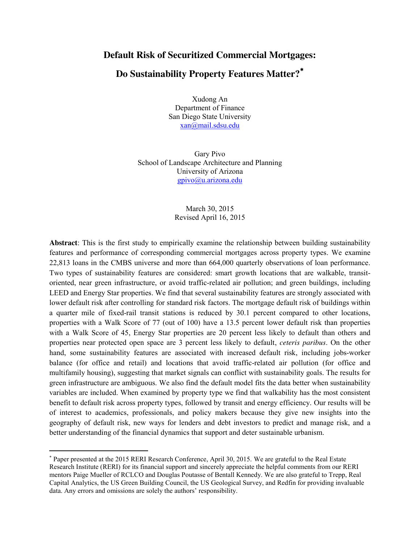### **Default Risk of Securitized Commercial Mortgages:**

# **Do Sustainability Property Features Matter?**

Xudong An Department of Finance San Diego State University [xan@mail.sdsu.edu](mailto:xan@mail.sdsu.edu)

Gary Pivo School of Landscape Architecture and Planning University of Arizona [gpivo@u.arizona.edu](mailto:gpivo@u.arizona.edu)

> March 30, 2015 Revised April 16, 2015

**Abstract**: This is the first study to empirically examine the relationship between building sustainability features and performance of corresponding commercial mortgages across property types. We examine 22,813 loans in the CMBS universe and more than 664,000 quarterly observations of loan performance. Two types of sustainability features are considered: smart growth locations that are walkable, transitoriented, near green infrastructure, or avoid traffic-related air pollution; and green buildings, including LEED and Energy Star properties. We find that several sustainability features are strongly associated with lower default risk after controlling for standard risk factors. The mortgage default risk of buildings within a quarter mile of fixed-rail transit stations is reduced by 30.1 percent compared to other locations, properties with a Walk Score of 77 (out of 100) have a 13.5 percent lower default risk than properties with a Walk Score of 45, Energy Star properties are 20 percent less likely to default than others and properties near protected open space are 3 percent less likely to default, *ceteris paribus*. On the other hand, some sustainability features are associated with increased default risk, including jobs-worker balance (for office and retail) and locations that avoid traffic-related air pollution (for office and multifamily housing), suggesting that market signals can conflict with sustainability goals. The results for green infrastructure are ambiguous. We also find the default model fits the data better when sustainability variables are included. When examined by property type we find that walkability has the most consistent benefit to default risk across property types, followed by transit and energy efficiency. Our results will be of interest to academics, professionals, and policy makers because they give new insights into the geography of default risk, new ways for lenders and debt investors to predict and manage risk, and a better understanding of the financial dynamics that support and deter sustainable urbanism.

 $\overline{a}$ 

 Paper presented at the 2015 RERI Research Conference, April 30, 2015. We are grateful to the Real Estate Research Institute (RERI) for its financial support and sincerely appreciate the helpful comments from our RERI mentors Paige Mueller of RCLCO and Douglas Poutasse of Bentall Kennedy. We are also grateful to Trepp, Real Capital Analytics, the US Green Building Council, the US Geological Survey, and Redfin for providing invaluable data. Any errors and omissions are solely the authors' responsibility.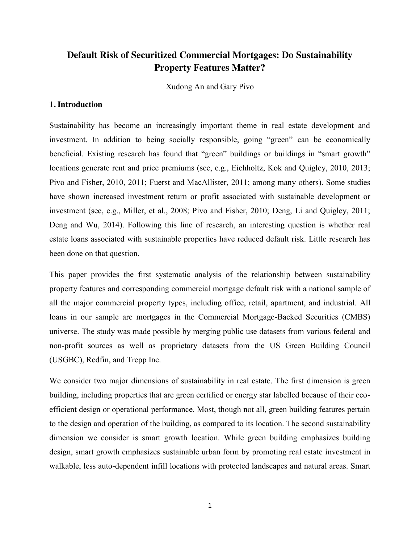# **Default Risk of Securitized Commercial Mortgages: Do Sustainability Property Features Matter?**

Xudong An and Gary Pivo

#### **1. Introduction**

Sustainability has become an increasingly important theme in real estate development and investment. In addition to being socially responsible, going "green" can be economically beneficial. Existing research has found that "green" buildings or buildings in "smart growth" locations generate rent and price premiums (see, e.g., Eichholtz, Kok and Quigley, 2010, 2013; Pivo and Fisher, 2010, 2011; Fuerst and MacAllister, 2011; among many others). Some studies have shown increased investment return or profit associated with sustainable development or investment (see, e.g., Miller, et al., 2008; Pivo and Fisher, 2010; Deng, Li and Quigley, 2011; Deng and Wu, 2014). Following this line of research, an interesting question is whether real estate loans associated with sustainable properties have reduced default risk. Little research has been done on that question.

This paper provides the first systematic analysis of the relationship between sustainability property features and corresponding commercial mortgage default risk with a national sample of all the major commercial property types, including office, retail, apartment, and industrial. All loans in our sample are mortgages in the Commercial Mortgage-Backed Securities (CMBS) universe. The study was made possible by merging public use datasets from various federal and non-profit sources as well as proprietary datasets from the US Green Building Council (USGBC), Redfin, and Trepp Inc.

We consider two major dimensions of sustainability in real estate. The first dimension is green building, including properties that are green certified or energy star labelled because of their ecoefficient design or operational performance. Most, though not all, green building features pertain to the design and operation of the building, as compared to its location. The second sustainability dimension we consider is smart growth location. While green building emphasizes building design, smart growth emphasizes sustainable urban form by promoting real estate investment in walkable, less auto-dependent infill locations with protected landscapes and natural areas. Smart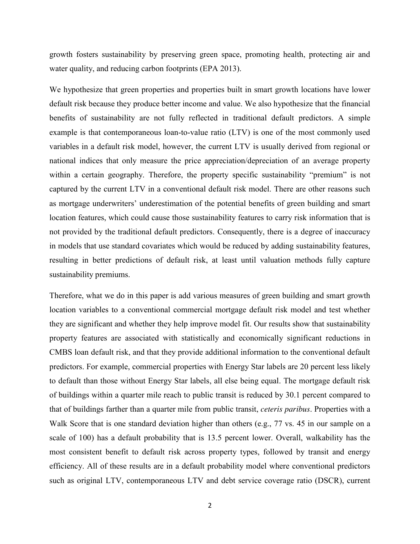growth fosters sustainability by preserving green space, promoting health, protecting air and water quality, and reducing carbon footprints (EPA 2013).

We hypothesize that green properties and properties built in smart growth locations have lower default risk because they produce better income and value. We also hypothesize that the financial benefits of sustainability are not fully reflected in traditional default predictors. A simple example is that contemporaneous loan-to-value ratio (LTV) is one of the most commonly used variables in a default risk model, however, the current LTV is usually derived from regional or national indices that only measure the price appreciation/depreciation of an average property within a certain geography. Therefore, the property specific sustainability "premium" is not captured by the current LTV in a conventional default risk model. There are other reasons such as mortgage underwriters' underestimation of the potential benefits of green building and smart location features, which could cause those sustainability features to carry risk information that is not provided by the traditional default predictors. Consequently, there is a degree of inaccuracy in models that use standard covariates which would be reduced by adding sustainability features, resulting in better predictions of default risk, at least until valuation methods fully capture sustainability premiums.

Therefore, what we do in this paper is add various measures of green building and smart growth location variables to a conventional commercial mortgage default risk model and test whether they are significant and whether they help improve model fit. Our results show that sustainability property features are associated with statistically and economically significant reductions in CMBS loan default risk, and that they provide additional information to the conventional default predictors. For example, commercial properties with Energy Star labels are 20 percent less likely to default than those without Energy Star labels, all else being equal. The mortgage default risk of buildings within a quarter mile reach to public transit is reduced by 30.1 percent compared to that of buildings farther than a quarter mile from public transit, *ceteris paribus*. Properties with a Walk Score that is one standard deviation higher than others (e.g., 77 vs. 45 in our sample on a scale of 100) has a default probability that is 13.5 percent lower. Overall, walkability has the most consistent benefit to default risk across property types, followed by transit and energy efficiency. All of these results are in a default probability model where conventional predictors such as original LTV, contemporaneous LTV and debt service coverage ratio (DSCR), current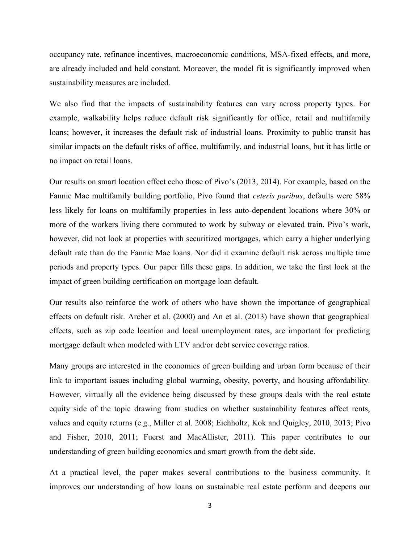occupancy rate, refinance incentives, macroeconomic conditions, MSA-fixed effects, and more, are already included and held constant. Moreover, the model fit is significantly improved when sustainability measures are included.

We also find that the impacts of sustainability features can vary across property types. For example, walkability helps reduce default risk significantly for office, retail and multifamily loans; however, it increases the default risk of industrial loans. Proximity to public transit has similar impacts on the default risks of office, multifamily, and industrial loans, but it has little or no impact on retail loans.

Our results on smart location effect echo those of Pivo's (2013, 2014). For example, based on the Fannie Mae multifamily building portfolio, Pivo found that *ceteris paribus*, defaults were 58% less likely for loans on multifamily properties in less auto-dependent locations where 30% or more of the workers living there commuted to work by subway or elevated train. Pivo's work, however, did not look at properties with securitized mortgages, which carry a higher underlying default rate than do the Fannie Mae loans. Nor did it examine default risk across multiple time periods and property types. Our paper fills these gaps. In addition, we take the first look at the impact of green building certification on mortgage loan default.

Our results also reinforce the work of others who have shown the importance of geographical effects on default risk. Archer et al. (2000) and An et al. (2013) have shown that geographical effects, such as zip code location and local unemployment rates, are important for predicting mortgage default when modeled with LTV and/or debt service coverage ratios.

Many groups are interested in the economics of green building and urban form because of their link to important issues including global warming, obesity, poverty, and housing affordability. However, virtually all the evidence being discussed by these groups deals with the real estate equity side of the topic drawing from studies on whether sustainability features affect rents, values and equity returns (e.g., Miller et al. 2008; Eichholtz, Kok and Quigley, 2010, 2013; Pivo and Fisher, 2010, 2011; Fuerst and MacAllister, 2011). This paper contributes to our understanding of green building economics and smart growth from the debt side.

At a practical level, the paper makes several contributions to the business community. It improves our understanding of how loans on sustainable real estate perform and deepens our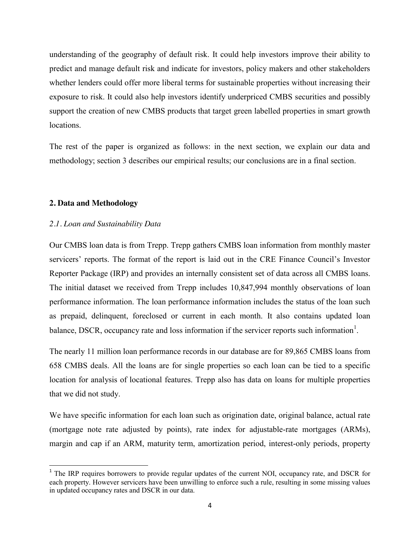understanding of the geography of default risk. It could help investors improve their ability to predict and manage default risk and indicate for investors, policy makers and other stakeholders whether lenders could offer more liberal terms for sustainable properties without increasing their exposure to risk. It could also help investors identify underpriced CMBS securities and possibly support the creation of new CMBS products that target green labelled properties in smart growth locations.

The rest of the paper is organized as follows: in the next section, we explain our data and methodology; section 3 describes our empirical results; our conclusions are in a final section.

#### **2. Data and Methodology**

#### *2.1. Loan and Sustainability Data*

Our CMBS loan data is from Trepp. Trepp gathers CMBS loan information from monthly master servicers' reports. The format of the report is laid out in the CRE Finance Council's Investor Reporter Package (IRP) and provides an internally consistent set of data across all CMBS loans. The initial dataset we received from Trepp includes 10,847,994 monthly observations of loan performance information. The loan performance information includes the status of the loan such as prepaid, delinquent, foreclosed or current in each month. It also contains updated loan balance, DSCR, occupancy rate and loss information if the servicer reports such information<sup>1</sup>.

The nearly 11 million loan performance records in our database are for 89,865 CMBS loans from 658 CMBS deals. All the loans are for single properties so each loan can be tied to a specific location for analysis of locational features. Trepp also has data on loans for multiple properties that we did not study.

We have specific information for each loan such as origination date, original balance, actual rate (mortgage note rate adjusted by points), rate index for adjustable-rate mortgages (ARMs), margin and cap if an ARM, maturity term, amortization period, interest-only periods, property

<sup>&</sup>lt;sup>1</sup> The IRP requires borrowers to provide regular updates of the current NOI, occupancy rate, and DSCR for each property. However servicers have been unwilling to enforce such a rule, resulting in some missing values in updated occupancy rates and DSCR in our data.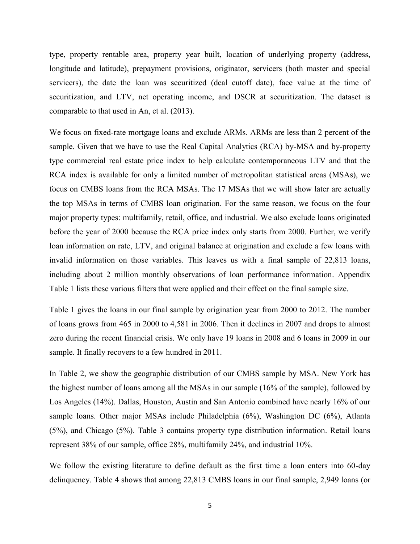type, property rentable area, property year built, location of underlying property (address, longitude and latitude), prepayment provisions, originator, servicers (both master and special servicers), the date the loan was securitized (deal cutoff date), face value at the time of securitization, and LTV, net operating income, and DSCR at securitization. The dataset is comparable to that used in An, et al. (2013).

We focus on fixed-rate mortgage loans and exclude ARMs. ARMs are less than 2 percent of the sample. Given that we have to use the Real Capital Analytics (RCA) by-MSA and by-property type commercial real estate price index to help calculate contemporaneous LTV and that the RCA index is available for only a limited number of metropolitan statistical areas (MSAs), we focus on CMBS loans from the RCA MSAs. The 17 MSAs that we will show later are actually the top MSAs in terms of CMBS loan origination. For the same reason, we focus on the four major property types: multifamily, retail, office, and industrial. We also exclude loans originated before the year of 2000 because the RCA price index only starts from 2000. Further, we verify loan information on rate, LTV, and original balance at origination and exclude a few loans with invalid information on those variables. This leaves us with a final sample of 22,813 loans, including about 2 million monthly observations of loan performance information. Appendix Table 1 lists these various filters that were applied and their effect on the final sample size.

Table 1 gives the loans in our final sample by origination year from 2000 to 2012. The number of loans grows from 465 in 2000 to 4,581 in 2006. Then it declines in 2007 and drops to almost zero during the recent financial crisis. We only have 19 loans in 2008 and 6 loans in 2009 in our sample. It finally recovers to a few hundred in 2011.

In Table 2, we show the geographic distribution of our CMBS sample by MSA. New York has the highest number of loans among all the MSAs in our sample (16% of the sample), followed by Los Angeles (14%). Dallas, Houston, Austin and San Antonio combined have nearly 16% of our sample loans. Other major MSAs include Philadelphia (6%), Washington DC (6%), Atlanta (5%), and Chicago (5%). Table 3 contains property type distribution information. Retail loans represent 38% of our sample, office 28%, multifamily 24%, and industrial 10%.

We follow the existing literature to define default as the first time a loan enters into 60-day delinquency. Table 4 shows that among 22,813 CMBS loans in our final sample, 2,949 loans (or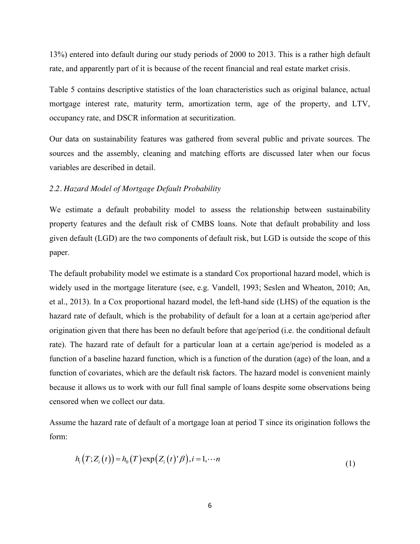13%) entered into default during our study periods of 2000 to 2013. This is a rather high default rate, and apparently part of it is because of the recent financial and real estate market crisis.

Table 5 contains descriptive statistics of the loan characteristics such as original balance, actual mortgage interest rate, maturity term, amortization term, age of the property, and LTV, occupancy rate, and DSCR information at securitization.

Our data on sustainability features was gathered from several public and private sources. The sources and the assembly, cleaning and matching efforts are discussed later when our focus variables are described in detail.

#### *2.2. Hazard Model of Mortgage Default Probability*

We estimate a default probability model to assess the relationship between sustainability property features and the default risk of CMBS loans. Note that default probability and loss given default (LGD) are the two components of default risk, but LGD is outside the scope of this paper.

The default probability model we estimate is a standard Cox proportional hazard model, which is widely used in the mortgage literature (see, e.g. Vandell, 1993; Seslen and Wheaton, 2010; An, et al., 2013). In a Cox proportional hazard model, the left-hand side (LHS) of the equation is the hazard rate of default, which is the probability of default for a loan at a certain age/period after origination given that there has been no default before that age/period (i.e. the conditional default rate). The hazard rate of default for a particular loan at a certain age/period is modeled as a function of a baseline hazard function, which is a function of the duration (age) of the loan, and a function of covariates, which are the default risk factors. The hazard model is convenient mainly because it allows us to work with our full final sample of loans despite some observations being censored when we collect our data.

Assume the hazard rate of default of a mortgage loan at period T since its origination follows the form:

$$
h_i(T; Z_i(t)) = h_0(T) \exp(Z_i(t)^* \beta), i = 1, \cdots n
$$
\n(1)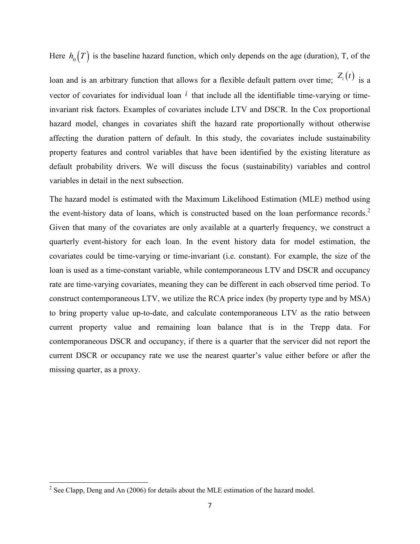Here  $h_0(T)$  is the baseline hazard function, which only depends on the age (duration), T, of the

loan and is an arbitrary function that allows for a flexible default pattern over time;  $Z_i(t)$  is a vector of covariates for individual loan *i* that include all the identifiable time-varying or timeinvariant risk factors. Examples of covariates include LTV and DSCR. In the Cox proportional hazard model, changes in covariates shift the hazard rate proportionally without otherwise affecting the duration pattern of default. In this study, the covariates include sustainability property features and control variables that have been identified by the existing literature as default probability drivers. We will discuss the focus (sustainability) variables and control variables in detail in the next subsection.

The hazard model is estimated with the Maximum Likelihood Estimation (MLE) method using the event-history data of loans, which is constructed based on the loan performance records.<sup>2</sup> Given that many of the covariates are only available at a quarterly frequency, we construct a quarterly event-history for each loan. In the event history data for model estimation, the covariates could be time-varying or time-invariant (i.e. constant). For example, the size of the loan is used as a time-constant variable, while contemporaneous LTV and DSCR and occupancy rate are time-varying covariates, meaning they can be different in each observed time period. To construct contemporaneous LTV, we utilize the RCA price index (by property type and by MSA) to bring property value up-to-date, and calculate contemporaneous LTV as the ratio between current property value and remaining loan balance that is in the Trepp data. For contemporaneous DSCR and occupancy, if there is a quarter that the servicer did not report the current DSCR or occupancy rate we use the nearest quarter's value either before or after the missing quarter, as a proxy.

<sup>&</sup>lt;sup>2</sup> See Clapp, Deng and An (2006) for details about the MLE estimation of the hazard model.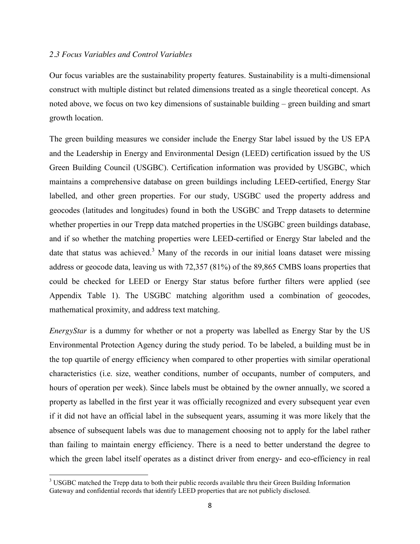#### *2.3 Focus Variables and Control Variables*

Our focus variables are the sustainability property features. Sustainability is a multi-dimensional construct with multiple distinct but related dimensions treated as a single theoretical concept. As noted above, we focus on two key dimensions of sustainable building – green building and smart growth location.

The green building measures we consider include the Energy Star label issued by the US EPA and the Leadership in Energy and Environmental Design (LEED) certification issued by the US Green Building Council (USGBC). Certification information was provided by USGBC, which maintains a comprehensive database on green buildings including LEED-certified, Energy Star labelled, and other green properties. For our study, USGBC used the property address and geocodes (latitudes and longitudes) found in both the USGBC and Trepp datasets to determine whether properties in our Trepp data matched properties in the USGBC green buildings database, and if so whether the matching properties were LEED-certified or Energy Star labeled and the date that status was achieved.<sup>3</sup> Many of the records in our initial loans dataset were missing address or geocode data, leaving us with 72,357 (81%) of the 89,865 CMBS loans properties that could be checked for LEED or Energy Star status before further filters were applied (see Appendix Table 1). The USGBC matching algorithm used a combination of geocodes, mathematical proximity, and address text matching.

*EnergyStar* is a dummy for whether or not a property was labelled as Energy Star by the US Environmental Protection Agency during the study period. To be labeled, a building must be in the top quartile of energy efficiency when compared to other properties with similar operational characteristics (i.e. size, weather conditions, number of occupants, number of computers, and hours of operation per week). Since labels must be obtained by the owner annually, we scored a property as labelled in the first year it was officially recognized and every subsequent year even if it did not have an official label in the subsequent years, assuming it was more likely that the absence of subsequent labels was due to management choosing not to apply for the label rather than failing to maintain energy efficiency. There is a need to better understand the degree to which the green label itself operates as a distinct driver from energy- and eco-efficiency in real

<sup>&</sup>lt;sup>3</sup> USGBC matched the Trepp data to both their public records available thru their Green Building Information Gateway and confidential records that identify LEED properties that are not publicly disclosed.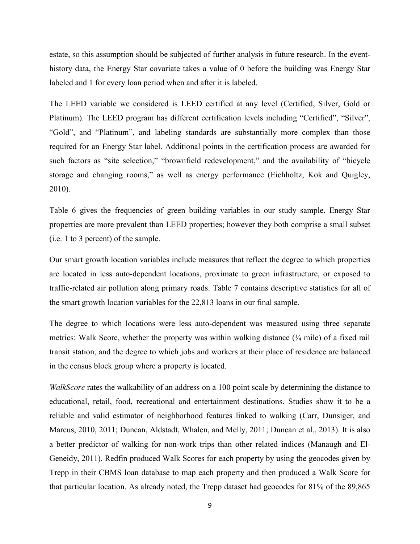estate, so this assumption should be subjected of further analysis in future research. In the eventhistory data, the Energy Star covariate takes a value of 0 before the building was Energy Star labeled and 1 for every loan period when and after it is labeled.

The LEED variable we considered is LEED certified at any level (Certified, Silver, Gold or Platinum). The LEED program has different certification levels including "Certified", "Silver", "Gold", and "Platinum", and labeling standards are substantially more complex than those required for an Energy Star label. Additional points in the certification process are awarded for such factors as "site selection," "brownfield redevelopment," and the availability of "bicycle storage and changing rooms," as well as energy performance (Eichholtz, Kok and Quigley, 2010).

Table 6 gives the frequencies of green building variables in our study sample. Energy Star properties are more prevalent than LEED properties; however they both comprise a small subset (i.e. 1 to 3 percent) of the sample.

Our smart growth location variables include measures that reflect the degree to which properties are located in less auto-dependent locations, proximate to green infrastructure, or exposed to traffic-related air pollution along primary roads. Table 7 contains descriptive statistics for all of the smart growth location variables for the 22,813 loans in our final sample.

The degree to which locations were less auto-dependent was measured using three separate metrics: Walk Score, whether the property was within walking distance  $\frac{1}{4}$  mile) of a fixed rail transit station, and the degree to which jobs and workers at their place of residence are balanced in the census block group where a property is located.

*WalkScore* rates the walkability of an address on a 100 point scale by determining the distance to educational, retail, food, recreational and entertainment destinations. Studies show it to be a reliable and valid estimator of neighborhood features linked to walking (Carr, Dunsiger, and Marcus, 2010, 2011; Duncan, Aldstadt, Whalen, and Melly, 2011; Duncan et al., 2013). It is also a better predictor of walking for non-work trips than other related indices (Manaugh and El-Geneidy, 2011). Redfin produced Walk Scores for each property by using the geocodes given by Trepp in their CBMS loan database to map each property and then produced a Walk Score for that particular location. As already noted, the Trepp dataset had geocodes for 81% of the 89,865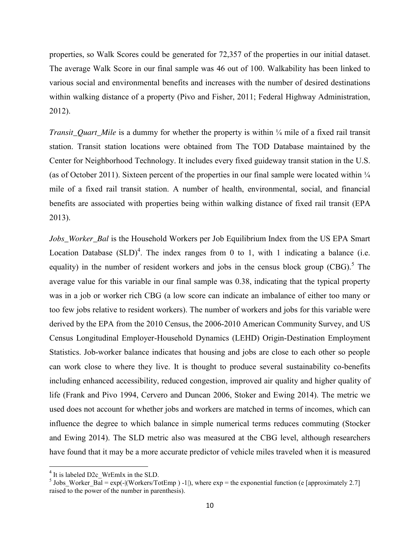properties, so Walk Scores could be generated for 72,357 of the properties in our initial dataset. The average Walk Score in our final sample was 46 out of 100. Walkability has been linked to various social and environmental benefits and increases with the number of desired destinations within walking distance of a property (Pivo and Fisher, 2011; Federal Highway Administration, 2012).

*Transit Quart Mile* is a dummy for whether the property is within ¼ mile of a fixed rail transit station. Transit station locations were obtained from The TOD Database maintained by the Center for Neighborhood Technology. It includes every fixed guideway transit station in the U.S. (as of October 2011). Sixteen percent of the properties in our final sample were located within  $\frac{1}{4}$ mile of a fixed rail transit station. A number of health, environmental, social, and financial benefits are associated with properties being within walking distance of fixed rail transit (EPA 2013).

*Jobs* Worker Bal is the Household Workers per Job Equilibrium Index from the US EPA Smart Location Database  $(SLD)^4$ . The index ranges from 0 to 1, with 1 indicating a balance (i.e. equality) in the number of resident workers and jobs in the census block group  $(CBG)$ .<sup>5</sup> The average value for this variable in our final sample was 0.38, indicating that the typical property was in a job or worker rich CBG (a low score can indicate an imbalance of either too many or too few jobs relative to resident workers). The number of workers and jobs for this variable were derived by the EPA from the 2010 Census, the 2006-2010 American Community Survey, and US Census Longitudinal Employer-Household Dynamics (LEHD) Origin-Destination Employment Statistics. Job-worker balance indicates that housing and jobs are close to each other so people can work close to where they live. It is thought to produce several sustainability co-benefits including enhanced accessibility, reduced congestion, improved air quality and higher quality of life (Frank and Pivo 1994, Cervero and Duncan 2006, Stoker and Ewing 2014). The metric we used does not account for whether jobs and workers are matched in terms of incomes, which can influence the degree to which balance in simple numerical terms reduces commuting (Stocker and Ewing 2014). The SLD metric also was measured at the CBG level, although researchers have found that it may be a more accurate predictor of vehicle miles traveled when it is measured

<sup>&</sup>lt;sup>4</sup> It is labeled D2c\_WrEmIx in the SLD.<br><sup>5</sup> Jobs\_Worker\_Bal = exp(-|(Workers/TotEmp ) -1|), where exp = the exponential function (e [approximately 2.7] raised to the power of the number in parenthesis).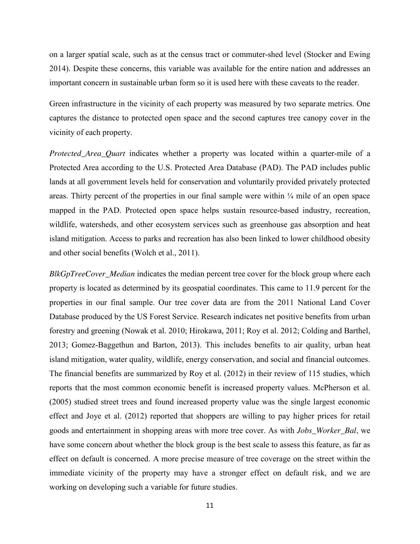on a larger spatial scale, such as at the census tract or commuter-shed level (Stocker and Ewing 2014). Despite these concerns, this variable was available for the entire nation and addresses an important concern in sustainable urban form so it is used here with these caveats to the reader.

Green infrastructure in the vicinity of each property was measured by two separate metrics. One captures the distance to protected open space and the second captures tree canopy cover in the vicinity of each property.

*Protected Area Quart* indicates whether a property was located within a quarter-mile of a Protected Area according to the U.S. Protected Area Database (PAD). The PAD includes public lands at all government levels held for conservation and voluntarily provided privately protected areas. Thirty percent of the properties in our final sample were within  $\frac{1}{4}$  mile of an open space mapped in the PAD. Protected open space helps sustain resource-based industry, recreation, wildlife, watersheds, and other ecosystem services such as greenhouse gas absorption and heat island mitigation. Access to parks and recreation has also been linked to lower childhood obesity and other social benefits (Wolch et al., 2011).

*BlkGpTreeCover\_Median* indicates the median percent tree cover for the block group where each property is located as determined by its geospatial coordinates. This came to 11.9 percent for the properties in our final sample. Our tree cover data are from the 2011 National Land Cover Database produced by the US Forest Service. Research indicates net positive benefits from urban forestry and greening (Nowak et al. 2010; Hirokawa, 2011; Roy et al. 2012; Colding and Barthel, 2013; Gomez-Baggethun and Barton, 2013). This includes benefits to air quality, urban heat island mitigation, water quality, wildlife, energy conservation, and social and financial outcomes. The financial benefits are summarized by Roy et al. (2012) in their review of 115 studies, which reports that the most common economic benefit is increased property values. McPherson et al. (2005) studied street trees and found increased property value was the single largest economic effect and Joye et al. (2012) reported that shoppers are willing to pay higher prices for retail goods and entertainment in shopping areas with more tree cover. As with *Jobs\_Worker\_Bal,* we have some concern about whether the block group is the best scale to assess this feature, as far as effect on default is concerned. A more precise measure of tree coverage on the street within the immediate vicinity of the property may have a stronger effect on default risk, and we are working on developing such a variable for future studies.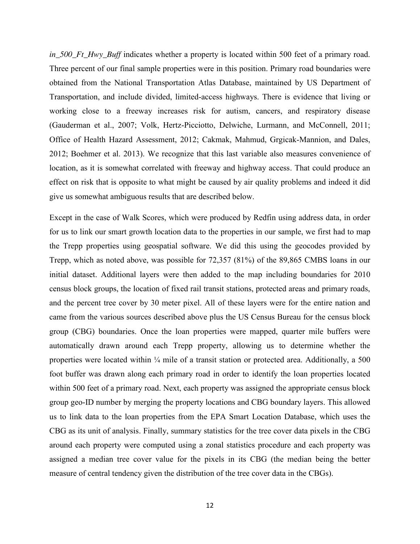*in\_500\_Ft\_Hwy\_Buff* indicates whether a property is located within 500 feet of a primary road. Three percent of our final sample properties were in this position. Primary road boundaries were obtained from the National Transportation Atlas Database, maintained by US Department of Transportation, and include divided, limited-access highways. There is evidence that living or working close to a freeway increases risk for autism, cancers, and respiratory disease (Gauderman et al., 2007; Volk, Hertz-Picciotto, Delwiche, Lurmann, and McConnell, 2011; Office of Health Hazard Assessment, 2012; Cakmak, Mahmud, Grgicak-Mannion, and Dales, 2012; Boehmer et al. 2013). We recognize that this last variable also measures convenience of location, as it is somewhat correlated with freeway and highway access. That could produce an effect on risk that is opposite to what might be caused by air quality problems and indeed it did give us somewhat ambiguous results that are described below.

Except in the case of Walk Scores, which were produced by Redfin using address data, in order for us to link our smart growth location data to the properties in our sample, we first had to map the Trepp properties using geospatial software. We did this using the geocodes provided by Trepp, which as noted above, was possible for 72,357 (81%) of the 89,865 CMBS loans in our initial dataset. Additional layers were then added to the map including boundaries for 2010 census block groups, the location of fixed rail transit stations, protected areas and primary roads, and the percent tree cover by 30 meter pixel. All of these layers were for the entire nation and came from the various sources described above plus the US Census Bureau for the census block group (CBG) boundaries. Once the loan properties were mapped, quarter mile buffers were automatically drawn around each Trepp property, allowing us to determine whether the properties were located within ¼ mile of a transit station or protected area. Additionally, a 500 foot buffer was drawn along each primary road in order to identify the loan properties located within 500 feet of a primary road. Next, each property was assigned the appropriate census block group geo-ID number by merging the property locations and CBG boundary layers. This allowed us to link data to the loan properties from the EPA Smart Location Database, which uses the CBG as its unit of analysis. Finally, summary statistics for the tree cover data pixels in the CBG around each property were computed using a zonal statistics procedure and each property was assigned a median tree cover value for the pixels in its CBG (the median being the better measure of central tendency given the distribution of the tree cover data in the CBGs).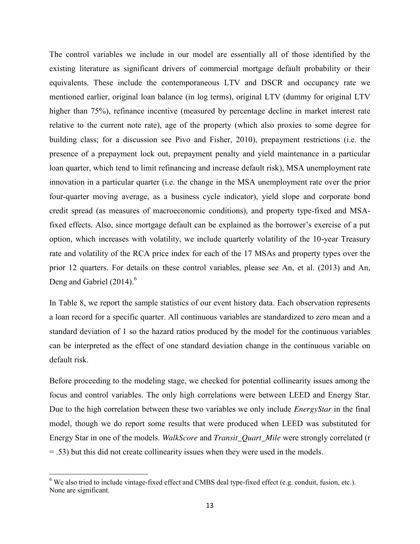The control variables we include in our model are essentially all of those identified by the existing literature as significant drivers of commercial mortgage default probability or their equivalents. These include the contemporaneous LTV and DSCR and occupancy rate we mentioned earlier, original loan balance (in log terms), original LTV (dummy for original LTV higher than 75%), refinance incentive (measured by percentage decline in market interest rate relative to the current note rate), age of the property (which also proxies to some degree for building class; for a discussion see Pivo and Fisher, 2010), prepayment restrictions (i.e. the presence of a prepayment lock out, prepayment penalty and yield maintenance in a particular loan quarter, which tend to limit refinancing and increase default risk), MSA unemployment rate innovation in a particular quarter (i.e. the change in the MSA unemployment rate over the prior four-quarter moving average, as a business cycle indicator), yield slope and corporate bond credit spread (as measures of macroeconomic conditions), and property type-fixed and MSAfixed effects. Also, since mortgage default can be explained as the borrower's exercise of a put option, which increases with volatility, we include quarterly volatility of the 10-year Treasury rate and volatility of the RCA price index for each of the 17 MSAs and property types over the prior 12 quarters. For details on these control variables, please see An, et al. (2013) and An, Deng and Gabriel (2014).<sup>6</sup>

In Table 8, we report the sample statistics of our event history data. Each observation represents a loan record for a specific quarter. All continuous variables are standardized to zero mean and a standard deviation of 1 so the hazard ratios produced by the model for the continuous variables can be interpreted as the effect of one standard deviation change in the continuous variable on default risk.

Before proceeding to the modeling stage, we checked for potential collinearity issues among the focus and control variables. The only high correlations were between LEED and Energy Star. Due to the high correlation between these two variables we only include *EnergyStar* in the final model, though we do report some results that were produced when LEED was substituted for Energy Star in one of the models. *WalkScore* and *Transit\_Quart\_Mile* were strongly correlated (r = .53) but this did not create collinearity issues when they were used in the models.

 $6$  We also tried to include vintage-fixed effect and CMBS deal type-fixed effect (e.g. conduit, fusion, etc.). None are significant.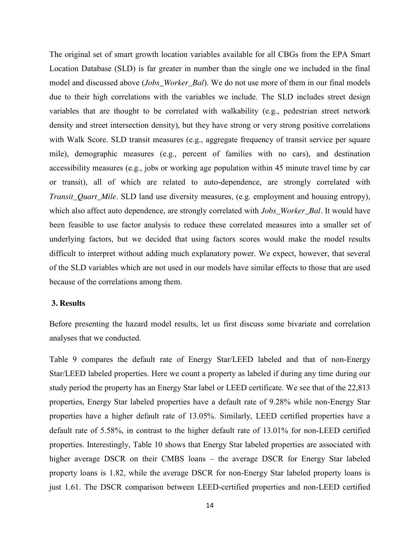The original set of smart growth location variables available for all CBGs from the EPA Smart Location Database (SLD) is far greater in number than the single one we included in the final model and discussed above (*Jobs\_Worker\_Bal*). We do not use more of them in our final models due to their high correlations with the variables we include. The SLD includes street design variables that are thought to be correlated with walkability (e.g., pedestrian street network density and street intersection density), but they have strong or very strong positive correlations with Walk Score. SLD transit measures (e.g., aggregate frequency of transit service per square mile), demographic measures (e.g., percent of families with no cars), and destination accessibility measures (e.g., jobs or working age population within 45 minute travel time by car or transit), all of which are related to auto-dependence, are strongly correlated with *Transit\_Quart\_Mile*. SLD land use diversity measures, (e.g. employment and housing entropy), which also affect auto dependence, are strongly correlated with *Jobs\_Worker\_Bal.* It would have been feasible to use factor analysis to reduce these correlated measures into a smaller set of underlying factors, but we decided that using factors scores would make the model results difficult to interpret without adding much explanatory power. We expect, however, that several of the SLD variables which are not used in our models have similar effects to those that are used because of the correlations among them.

#### **3. Results**

Before presenting the hazard model results, let us first discuss some bivariate and correlation analyses that we conducted.

Table 9 compares the default rate of Energy Star/LEED labeled and that of non-Energy Star/LEED labeled properties. Here we count a property as labeled if during any time during our study period the property has an Energy Star label or LEED certificate. We see that of the 22,813 properties, Energy Star labeled properties have a default rate of 9.28% while non-Energy Star properties have a higher default rate of 13.05%. Similarly, LEED certified properties have a default rate of 5.58%, in contrast to the higher default rate of 13.01% for non-LEED certified properties. Interestingly, Table 10 shows that Energy Star labeled properties are associated with higher average DSCR on their CMBS loans – the average DSCR for Energy Star labeled property loans is 1.82, while the average DSCR for non-Energy Star labeled property loans is just 1.61. The DSCR comparison between LEED-certified properties and non-LEED certified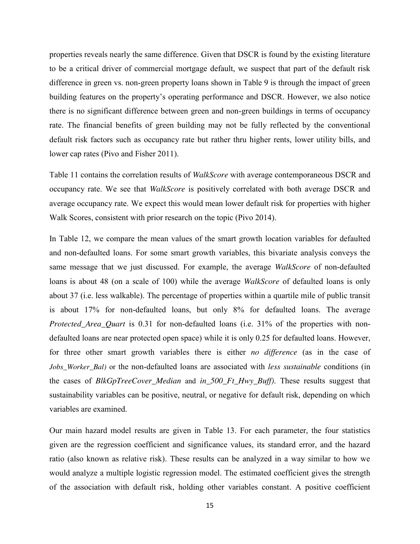properties reveals nearly the same difference. Given that DSCR is found by the existing literature to be a critical driver of commercial mortgage default, we suspect that part of the default risk difference in green vs. non-green property loans shown in Table 9 is through the impact of green building features on the property's operating performance and DSCR. However, we also notice there is no significant difference between green and non-green buildings in terms of occupancy rate. The financial benefits of green building may not be fully reflected by the conventional default risk factors such as occupancy rate but rather thru higher rents, lower utility bills, and lower cap rates (Pivo and Fisher 2011).

Table 11 contains the correlation results of *WalkScore* with average contemporaneous DSCR and occupancy rate. We see that *WalkScore* is positively correlated with both average DSCR and average occupancy rate. We expect this would mean lower default risk for properties with higher Walk Scores, consistent with prior research on the topic (Pivo 2014).

In Table 12, we compare the mean values of the smart growth location variables for defaulted and non-defaulted loans. For some smart growth variables, this bivariate analysis conveys the same message that we just discussed. For example, the average *WalkScore* of non-defaulted loans is about 48 (on a scale of 100) while the average *WalkScore* of defaulted loans is only about 37 (i.e. less walkable). The percentage of properties within a quartile mile of public transit is about 17% for non-defaulted loans, but only 8% for defaulted loans. The average *Protected\_Area\_Quart* is 0.31 for non-defaulted loans (i.e. 31% of the properties with nondefaulted loans are near protected open space) while it is only 0.25 for defaulted loans. However, for three other smart growth variables there is either *no difference* (as in the case of *Jobs\_Worker\_Bal)* or the non-defaulted loans are associated with *less sustainable* conditions (in the cases of *BlkGpTreeCover\_Median* and *in\_500\_Ft\_Hwy\_Buff)*. These results suggest that sustainability variables can be positive, neutral, or negative for default risk, depending on which variables are examined.

Our main hazard model results are given in Table 13. For each parameter, the four statistics given are the regression coefficient and significance values, its standard error, and the hazard ratio (also known as relative risk). These results can be analyzed in a way similar to how we would analyze a multiple logistic regression model. The estimated coefficient gives the strength of the association with default risk, holding other variables constant. A positive coefficient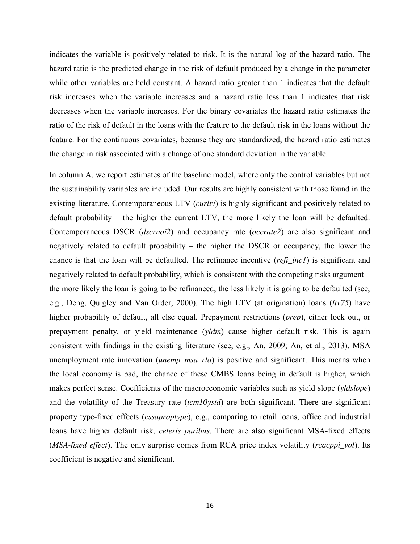indicates the variable is positively related to risk. It is the natural log of the hazard ratio. The hazard ratio is the predicted change in the risk of default produced by a change in the parameter while other variables are held constant. A hazard ratio greater than 1 indicates that the default risk increases when the variable increases and a hazard ratio less than 1 indicates that risk decreases when the variable increases. For the binary covariates the hazard ratio estimates the ratio of the risk of default in the loans with the feature to the default risk in the loans without the feature. For the continuous covariates, because they are standardized, the hazard ratio estimates the change in risk associated with a change of one standard deviation in the variable.

In column A, we report estimates of the baseline model, where only the control variables but not the sustainability variables are included. Our results are highly consistent with those found in the existing literature. Contemporaneous LTV (*curltv*) is highly significant and positively related to default probability – the higher the current LTV, the more likely the loan will be defaulted. Contemporaneous DSCR (*dscrnoi2*) and occupancy rate (*occrate2*) are also significant and negatively related to default probability – the higher the DSCR or occupancy, the lower the chance is that the loan will be defaulted. The refinance incentive (*refi\_inc1*) is significant and negatively related to default probability, which is consistent with the competing risks argument – the more likely the loan is going to be refinanced, the less likely it is going to be defaulted (see, e.g., Deng, Quigley and Van Order, 2000). The high LTV (at origination) loans (*ltv75*) have higher probability of default, all else equal. Prepayment restrictions (*prep*), either lock out, or prepayment penalty, or yield maintenance (*yldm*) cause higher default risk. This is again consistent with findings in the existing literature (see, e.g., An, 2009; An, et al., 2013). MSA unemployment rate innovation (*unemp\_msa\_rla*) is positive and significant. This means when the local economy is bad, the chance of these CMBS loans being in default is higher, which makes perfect sense. Coefficients of the macroeconomic variables such as yield slope (*yldslope*) and the volatility of the Treasury rate (*tcm10ystd*) are both significant. There are significant property type-fixed effects (*cssaproptype*), e.g., comparing to retail loans, office and industrial loans have higher default risk, *ceteris paribus*. There are also significant MSA-fixed effects (*MSA-fixed effect*). The only surprise comes from RCA price index volatility (*rcacppi\_vol*). Its coefficient is negative and significant.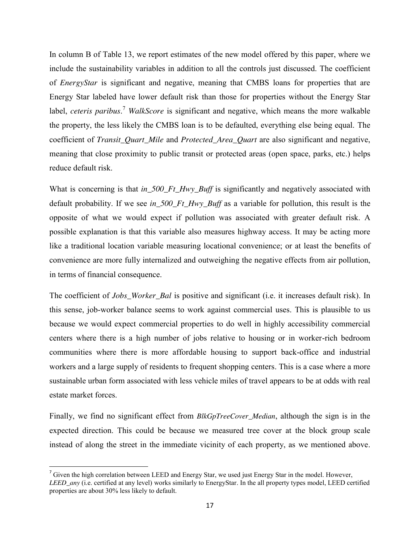In column B of Table 13, we report estimates of the new model offered by this paper, where we include the sustainability variables in addition to all the controls just discussed. The coefficient of *EnergyStar* is significant and negative, meaning that CMBS loans for properties that are Energy Star labeled have lower default risk than those for properties without the Energy Star label, *ceteris paribus*. <sup>7</sup> *WalkScore* is significant and negative, which means the more walkable the property, the less likely the CMBS loan is to be defaulted, everything else being equal. The coefficient of *Transit\_Quart\_Mile* and *Protected\_Area\_Quart* are also significant and negative, meaning that close proximity to public transit or protected areas (open space, parks, etc.) helps reduce default risk.

What is concerning is that *in\_500\_Ft\_Hwy\_Buff* is significantly and negatively associated with default probability. If we see *in\_500\_Ft\_Hwy\_Buff* as a variable for pollution, this result is the opposite of what we would expect if pollution was associated with greater default risk. A possible explanation is that this variable also measures highway access. It may be acting more like a traditional location variable measuring locational convenience; or at least the benefits of convenience are more fully internalized and outweighing the negative effects from air pollution, in terms of financial consequence.

The coefficient of *Jobs* Worker Bal is positive and significant (i.e. it increases default risk). In this sense, job-worker balance seems to work against commercial uses. This is plausible to us because we would expect commercial properties to do well in highly accessibility commercial centers where there is a high number of jobs relative to housing or in worker-rich bedroom communities where there is more affordable housing to support back-office and industrial workers and a large supply of residents to frequent shopping centers. This is a case where a more sustainable urban form associated with less vehicle miles of travel appears to be at odds with real estate market forces.

Finally, we find no significant effect from *BlkGpTreeCover\_Median*, although the sign is in the expected direction. This could be because we measured tree cover at the block group scale instead of along the street in the immediate vicinity of each property, as we mentioned above.

<sup>&</sup>lt;sup>7</sup> Given the high correlation between LEED and Energy Star, we used just Energy Star in the model. However, *LEED\_any* (i.e. certified at any level) works similarly to EnergyStar. In the all property types model, LEED certified properties are about 30% less likely to default.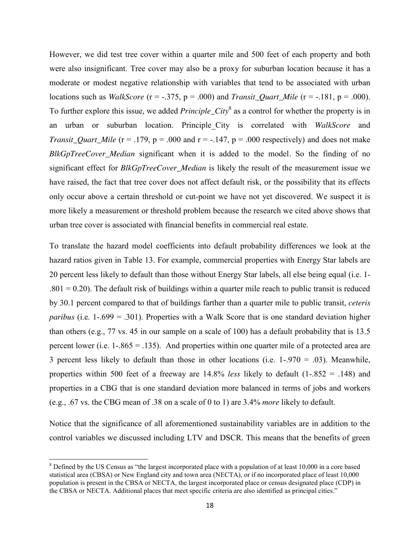However, we did test tree cover within a quarter mile and 500 feet of each property and both were also insignificant. Tree cover may also be a proxy for suburban location because it has a moderate or modest negative relationship with variables that tend to be associated with urban locations such as *WalkScore* (r = -.375, p = .000) and *Transit\_Quart\_Mile* (r = -.181, p = .000). To further explore this issue, we added *Principle City*<sup>8</sup> as a control for whether the property is in an urban or suburban location. Principle\_City is correlated with *WalkScore* and *Transit\_Quart\_Mile* ( $r = .179$ ,  $p = .000$  and  $r = -.147$ ,  $p = .000$  respectively) and does not make *BlkGpTreeCover\_Median* significant when it is added to the model*.* So the finding of no significant effect for *BlkGpTreeCover\_Median* is likely the result of the measurement issue we have raised, the fact that tree cover does not affect default risk, or the possibility that its effects only occur above a certain threshold or cut-point we have not yet discovered. We suspect it is more likely a measurement or threshold problem because the research we cited above shows that urban tree cover is associated with financial benefits in commercial real estate.

To translate the hazard model coefficients into default probability differences we look at the hazard ratios given in Table 13. For example, commercial properties with Energy Star labels are 20 percent less likely to default than those without Energy Star labels, all else being equal (i.e. 1-  $.801 = 0.20$ . The default risk of buildings within a quarter mile reach to public transit is reduced by 30.1 percent compared to that of buildings farther than a quarter mile to public transit, *ceteris paribus* (i.e. 1-.699 = .301). Properties with a Walk Score that is one standard deviation higher than others (e.g., 77 vs. 45 in our sample on a scale of 100) has a default probability that is 13.5 percent lower (i.e.  $1-.865 = .135$ ). And properties within one quarter mile of a protected area are 3 percent less likely to default than those in other locations (i.e. 1-.970 = .03). Meanwhile, properties within 500 feet of a freeway are 14.8% *less* likely to default (1-.852 = .148) and properties in a CBG that is one standard deviation more balanced in terms of jobs and workers (e.g., .67 vs. the CBG mean of .38 on a scale of 0 to 1) are 3.4% *more* likely to default.

Notice that the significance of all aforementioned sustainability variables are in addition to the control variables we discussed including LTV and DSCR. This means that the benefits of green

<sup>&</sup>lt;sup>8</sup> Defined by the US Census as "the largest incorporated place with a population of at least 10,000 in a core based statistical area (CBSA) or New England city and town area (NECTA), or if no incorporated place of least 10,000 population is present in the CBSA or NECTA, the largest incorporated place or census designated place (CDP) in the CBSA or NECTA. Additional places that meet specific criteria are also identified as principal cities."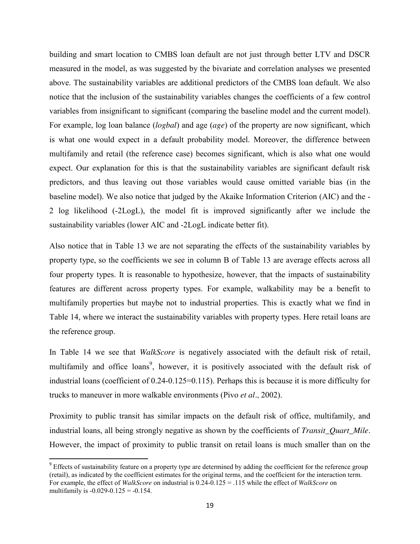building and smart location to CMBS loan default are not just through better LTV and DSCR measured in the model, as was suggested by the bivariate and correlation analyses we presented above. The sustainability variables are additional predictors of the CMBS loan default. We also notice that the inclusion of the sustainability variables changes the coefficients of a few control variables from insignificant to significant (comparing the baseline model and the current model). For example, log loan balance (*logbal*) and age (*age*) of the property are now significant, which is what one would expect in a default probability model. Moreover, the difference between multifamily and retail (the reference case) becomes significant, which is also what one would expect. Our explanation for this is that the sustainability variables are significant default risk predictors, and thus leaving out those variables would cause omitted variable bias (in the baseline model). We also notice that judged by the Akaike Information Criterion (AIC) and the - 2 log likelihood (-2LogL), the model fit is improved significantly after we include the sustainability variables (lower AIC and -2LogL indicate better fit).

Also notice that in Table 13 we are not separating the effects of the sustainability variables by property type, so the coefficients we see in column B of Table 13 are average effects across all four property types. It is reasonable to hypothesize, however, that the impacts of sustainability features are different across property types. For example, walkability may be a benefit to multifamily properties but maybe not to industrial properties. This is exactly what we find in Table 14, where we interact the sustainability variables with property types. Here retail loans are the reference group.

In Table 14 we see that *WalkScore* is negatively associated with the default risk of retail, multifamily and office loans<sup>9</sup>, however, it is positively associated with the default risk of industrial loans (coefficient of 0.24-0.125=0.115). Perhaps this is because it is more difficulty for trucks to maneuver in more walkable environments (Pivo *et al.,* 2002).

Proximity to public transit has similar impacts on the default risk of office, multifamily, and industrial loans, all being strongly negative as shown by the coefficients of *Transit\_Quart\_Mile*. However, the impact of proximity to public transit on retail loans is much smaller than on the

<sup>&</sup>lt;sup>9</sup> Effects of sustainability feature on a property type are determined by adding the coefficient for the reference group (retail), as indicated by the coefficient estimates for the original terms, and the coefficient for the interaction term. For example, the effect of *WalkScore* on industrial is 0.24-0.125 = .115 while the effect of *WalkScore* on multifamily is  $-0.029 - 0.125 = -0.154$ .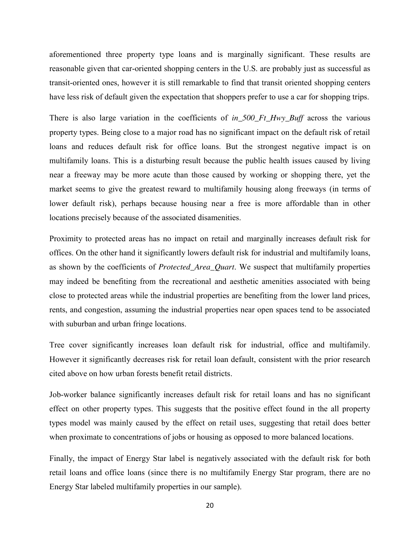aforementioned three property type loans and is marginally significant. These results are reasonable given that car-oriented shopping centers in the U.S. are probably just as successful as transit-oriented ones, however it is still remarkable to find that transit oriented shopping centers have less risk of default given the expectation that shoppers prefer to use a car for shopping trips.

There is also large variation in the coefficients of *in\_500\_Ft\_Hwy\_Buff* across the various property types. Being close to a major road has no significant impact on the default risk of retail loans and reduces default risk for office loans. But the strongest negative impact is on multifamily loans. This is a disturbing result because the public health issues caused by living near a freeway may be more acute than those caused by working or shopping there, yet the market seems to give the greatest reward to multifamily housing along freeways (in terms of lower default risk), perhaps because housing near a free is more affordable than in other locations precisely because of the associated disamenities.

Proximity to protected areas has no impact on retail and marginally increases default risk for offices. On the other hand it significantly lowers default risk for industrial and multifamily loans, as shown by the coefficients of *Protected\_Area\_Quart*. We suspect that multifamily properties may indeed be benefiting from the recreational and aesthetic amenities associated with being close to protected areas while the industrial properties are benefiting from the lower land prices, rents, and congestion, assuming the industrial properties near open spaces tend to be associated with suburban and urban fringe locations.

Tree cover significantly increases loan default risk for industrial, office and multifamily. However it significantly decreases risk for retail loan default, consistent with the prior research cited above on how urban forests benefit retail districts.

Job-worker balance significantly increases default risk for retail loans and has no significant effect on other property types. This suggests that the positive effect found in the all property types model was mainly caused by the effect on retail uses, suggesting that retail does better when proximate to concentrations of jobs or housing as opposed to more balanced locations.

Finally, the impact of Energy Star label is negatively associated with the default risk for both retail loans and office loans (since there is no multifamily Energy Star program, there are no Energy Star labeled multifamily properties in our sample).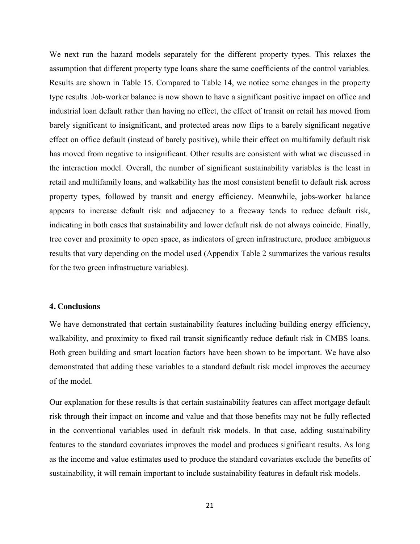We next run the hazard models separately for the different property types. This relaxes the assumption that different property type loans share the same coefficients of the control variables. Results are shown in Table 15. Compared to Table 14, we notice some changes in the property type results. Job-worker balance is now shown to have a significant positive impact on office and industrial loan default rather than having no effect, the effect of transit on retail has moved from barely significant to insignificant, and protected areas now flips to a barely significant negative effect on office default (instead of barely positive), while their effect on multifamily default risk has moved from negative to insignificant. Other results are consistent with what we discussed in the interaction model. Overall, the number of significant sustainability variables is the least in retail and multifamily loans, and walkability has the most consistent benefit to default risk across property types, followed by transit and energy efficiency. Meanwhile, jobs-worker balance appears to increase default risk and adjacency to a freeway tends to reduce default risk, indicating in both cases that sustainability and lower default risk do not always coincide. Finally, tree cover and proximity to open space, as indicators of green infrastructure, produce ambiguous results that vary depending on the model used (Appendix Table 2 summarizes the various results for the two green infrastructure variables).

#### **4. Conclusions**

We have demonstrated that certain sustainability features including building energy efficiency, walkability, and proximity to fixed rail transit significantly reduce default risk in CMBS loans. Both green building and smart location factors have been shown to be important. We have also demonstrated that adding these variables to a standard default risk model improves the accuracy of the model.

Our explanation for these results is that certain sustainability features can affect mortgage default risk through their impact on income and value and that those benefits may not be fully reflected in the conventional variables used in default risk models. In that case, adding sustainability features to the standard covariates improves the model and produces significant results. As long as the income and value estimates used to produce the standard covariates exclude the benefits of sustainability, it will remain important to include sustainability features in default risk models.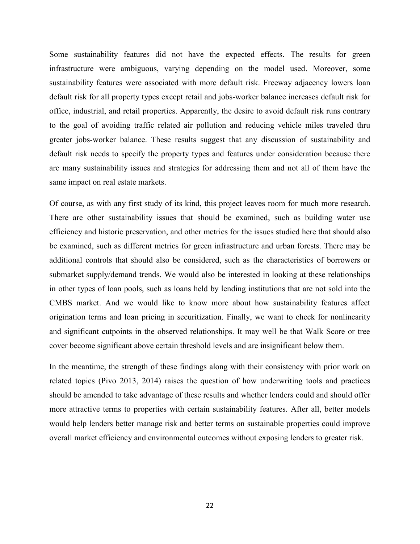Some sustainability features did not have the expected effects. The results for green infrastructure were ambiguous, varying depending on the model used. Moreover, some sustainability features were associated with more default risk. Freeway adjacency lowers loan default risk for all property types except retail and jobs-worker balance increases default risk for office, industrial, and retail properties. Apparently, the desire to avoid default risk runs contrary to the goal of avoiding traffic related air pollution and reducing vehicle miles traveled thru greater jobs-worker balance. These results suggest that any discussion of sustainability and default risk needs to specify the property types and features under consideration because there are many sustainability issues and strategies for addressing them and not all of them have the same impact on real estate markets.

Of course, as with any first study of its kind, this project leaves room for much more research. There are other sustainability issues that should be examined, such as building water use efficiency and historic preservation, and other metrics for the issues studied here that should also be examined, such as different metrics for green infrastructure and urban forests. There may be additional controls that should also be considered, such as the characteristics of borrowers or submarket supply/demand trends. We would also be interested in looking at these relationships in other types of loan pools, such as loans held by lending institutions that are not sold into the CMBS market. And we would like to know more about how sustainability features affect origination terms and loan pricing in securitization. Finally, we want to check for nonlinearity and significant cutpoints in the observed relationships. It may well be that Walk Score or tree cover become significant above certain threshold levels and are insignificant below them.

In the meantime, the strength of these findings along with their consistency with prior work on related topics (Pivo 2013, 2014) raises the question of how underwriting tools and practices should be amended to take advantage of these results and whether lenders could and should offer more attractive terms to properties with certain sustainability features. After all, better models would help lenders better manage risk and better terms on sustainable properties could improve overall market efficiency and environmental outcomes without exposing lenders to greater risk.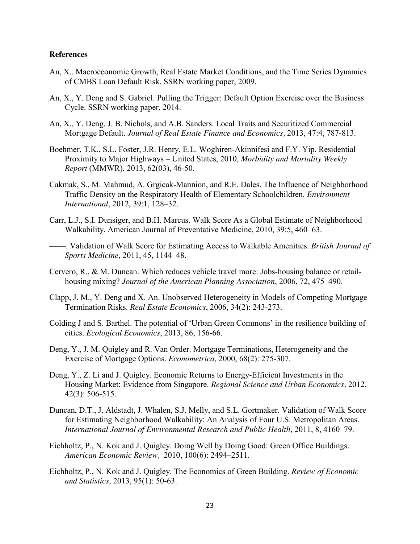#### **References**

- An, X.. Macroeconomic Growth, Real Estate Market Conditions, and the Time Series Dynamics of CMBS Loan Default Risk. SSRN working paper, 2009.
- An, X., Y. Deng and S. Gabriel. Pulling the Trigger: Default Option Exercise over the Business Cycle. SSRN working paper, 2014.
- An, X., Y. Deng, J. B. Nichols, and A.B. Sanders. Local Traits and Securitized Commercial Mortgage Default. *Journal of Real Estate Finance and Economics,* 2013, 47:4, 787-813.
- Boehmer, T.K., S.L. Foster, J.R. Henry, E.L. Woghiren-Akinnifesi and F.Y. Yip. Residential Proximity to Major Highways – United States, 2010, *Morbidity and Mortality Weekly Report* (MMWR), 2013, 62(03), 46-50.
- Cakmak, S., M. Mahmud, A. Grgicak-Mannion, and R.E. Dales. The Influence of Neighborhood Traffic Density on the Respiratory Health of Elementary Schoolchildren. *Environment International*, 2012, 39:1, 128–32.
- Carr, L.J., S.I. Dunsiger, and B.H. Marcus. Walk Score As a Global Estimate of Neighborhood Walkability. American Journal of Preventative Medicine, 2010, 39:5, 460–63.
- ——. Validation of Walk Score for Estimating Access to Walkable Amenities. *British Journal of Sports Medicine*, 2011, 45, 1144–48.
- Cervero, R., & M. Duncan. Which reduces vehicle travel more: Jobs-housing balance or retailhousing mixing? *Journal of the American Planning Association*, 2006, 72, 475–490.
- Clapp, J. M., Y. Deng and X. An. Unobserved Heterogeneity in Models of Competing Mortgage Termination Risks. *Real Estate Economics*, 2006, 34(2): 243-273.
- Colding J and S. Barthel. The potential of 'Urban Green Commons' in the resilience building of cities. *Ecological Economics*, 2013, 86, 156-66.
- Deng, Y., J. M. Quigley and R. Van Order. Mortgage Terminations, Heterogeneity and the Exercise of Mortgage Options. *Econometrica,* 2000, 68(2): 275-307.
- Deng, Y., Z. Li and J. Quigley. Economic Returns to Energy-Efficient Investments in the Housing Market: Evidence from Singapore. *Regional Science and Urban Economics,* 2012, 42(3): 506-515.
- Duncan, D.T., J. Aldstadt, J. Whalen, S.J. Melly, and S.L. Gortmaker. Validation of Walk Score for Estimating Neighborhood Walkability: An Analysis of Four U.S. Metropolitan Areas. *International Journal of Environmental Research and Public Health,* 2011, 8, 4160–79.
- Eichholtz, P., N. Kok and J. Quigley. Doing Well by Doing Good: Green Office Buildings. *American Economic Review,* 2010, 100(6): 2494–2511.
- Eichholtz, P., N. Kok and J. Quigley. The Economics of Green Building. *Review of Economic and Statistics,* 2013, 95(1): 50-63.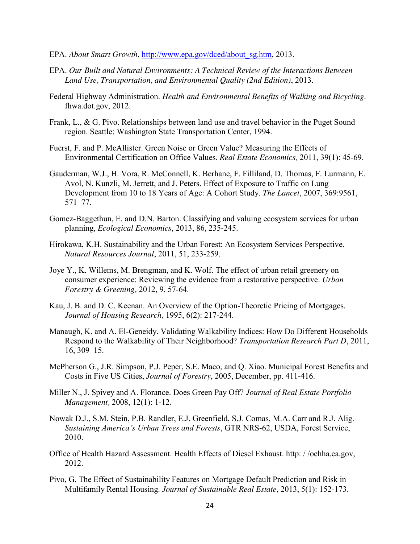- EPA. *About Smart Growth*, [http://www.epa.gov/dced/about\\_sg.htm,](http://www.epa.gov/dced/about_sg.htm) 2013.
- EPA. *Our Built and Natural Environments: A Technical Review of the Interactions Between Land Use, Transportation, and Environmental Quality (2nd Edition)*, 2013.
- Federal Highway Administration. *Health and Environmental Benefits of Walking and Bicycling*. fhwa.dot.gov, 2012.
- Frank, L., & G. Pivo. Relationships between land use and travel behavior in the Puget Sound region. Seattle: Washington State Transportation Center, 1994.
- Fuerst, F. and P. McAllister. Green Noise or Green Value? Measuring the Effects of Environmental Certification on Office Values. *Real Estate Economics,* 2011, 39(1): 45-69.
- Gauderman, W.J., H. Vora, R. McConnell, K. Berhane, F. Filliland, D. Thomas, F. Lurmann, E. Avol, N. Kunzli, M. Jerrett, and J. Peters. Effect of Exposure to Traffic on Lung Development from 10 to 18 Years of Age: A Cohort Study. *The Lancet*, 2007, 369:9561, 571–77.
- Gomez-Baggethun, E. and D.N. Barton. Classifying and valuing ecosystem services for urban planning, *Ecological Economics*, 2013, 86, 235-245.
- Hirokawa, K.H. Sustainability and the Urban Forest: An Ecosystem Services Perspective. *Natural Resources Journal*, 2011, 51, 233-259.
- Joye Y., K. Willems, M. Brengman, and K. Wolf. The effect of urban retail greenery on consumer experience: Reviewing the evidence from a restorative perspective. *Urban Forestry & Greening,* 2012, 9, 57-64.
- Kau, J. B. and D. C. Keenan. An Overview of the Option-Theoretic Pricing of Mortgages. *Journal of Housing Research,* 1995, 6(2): 217-244.
- Manaugh, K. and A. El-Geneidy. Validating Walkability Indices: How Do Different Households Respond to the Walkability of Their Neighborhood? *Transportation Research Part D*, 2011, 16, 309–15.
- McPherson G., J.R. Simpson, P.J. Peper, S.E. Maco, and Q. Xiao. Municipal Forest Benefits and Costs in Five US Cities, *Journal of Forestry*, 2005, December, pp. 411-416.
- Miller N., J. Spivey and A. Florance. Does Green Pay Off? *Journal of Real Estate Portfolio Management,* 2008, 12(1): 1-12.
- Nowak D.J., S.M. Stein, P.B. Randler, E.J. Greenfield, S.J. Comas, M.A. Carr and R.J. Alig. *Sustaining America's Urban Trees and Forests*, GTR NRS-62, USDA, Forest Service, 2010.
- Office of Health Hazard Assessment. Health Effects of Diesel Exhaust. http: / /oehha.ca.gov, 2012.
- Pivo, G. The Effect of Sustainability Features on Mortgage Default Prediction and Risk in Multifamily Rental Housing. *Journal of Sustainable Real Estate*, 2013, 5(1): 152-173.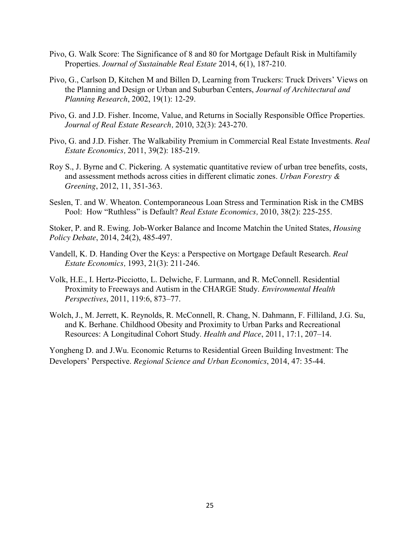- Pivo, G. Walk Score: The Significance of 8 and 80 for Mortgage Default Risk in Multifamily Properties. *Journal of Sustainable Real Estate* 2014, 6(1), 187-210.
- Pivo, G., Carlson D, Kitchen M and Billen D, Learning from Truckers: Truck Drivers' Views on the Planning and Design or Urban and Suburban Centers, *Journal of Architectural and Planning Research*, 2002, 19(1): 12-29.
- Pivo, G. and J.D. Fisher. Income, Value, and Returns in Socially Responsible Office Properties. *Journal of Real Estate Research,* 2010, 32(3): 243-270.
- Pivo, G. and J.D. Fisher. The Walkability Premium in Commercial Real Estate Investments. *Real Estate Economics,* 2011, 39(2): 185-219.
- Roy S., J. Byrne and C. Pickering. A systematic quantitative review of urban tree benefits, costs, and assessment methods across cities in different climatic zones. *Urban Forestry & Greening*, 2012, 11, 351-363.
- Seslen, T. and W. Wheaton. Contemporaneous Loan Stress and Termination Risk in the CMBS Pool: How "Ruthless" is Default? *Real Estate Economics,* 2010, 38(2): 225-255.

Stoker, P. and R. Ewing. Job-Worker Balance and Income Matchin the United States, *Housing Policy Debate*, 2014, 24(2), 485-497.

- Vandell, K. D. Handing Over the Keys: a Perspective on Mortgage Default Research. *Real Estate Economics,* 1993, 21(3): 211-246.
- Volk, H.E., I. Hertz-Picciotto, L. Delwiche, F. Lurmann, and R. McConnell. Residential Proximity to Freeways and Autism in the CHARGE Study. *Environmental Health Perspectives*, 2011, 119:6, 873–77.
- Wolch, J., M. Jerrett, K. Reynolds, R. McConnell, R. Chang, N. Dahmann, F. Filliland, J.G. Su, and K. Berhane. Childhood Obesity and Proximity to Urban Parks and Recreational Resources: A Longitudinal Cohort Study. *Health and Place*, 2011, 17:1, 207–14.

Yongheng D. and J.Wu. Economic Returns to Residential Green Building Investment: The Developers' Perspective. *Regional Science and Urban Economics*, 2014, 47: 35-44.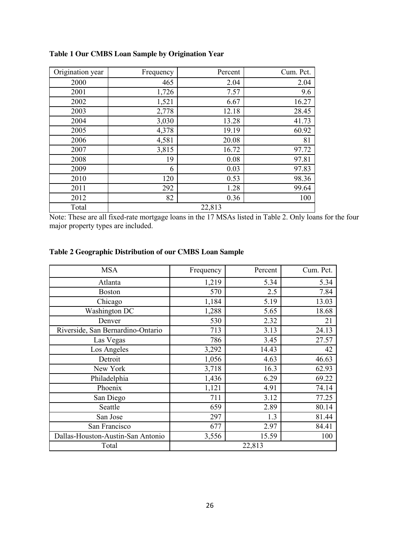| Origination year | Frequency | Percent | Cum. Pct. |
|------------------|-----------|---------|-----------|
| 2000             | 465       | 2.04    | 2.04      |
| 2001             | 1,726     | 7.57    | 9.6       |
| 2002             | 1,521     | 6.67    | 16.27     |
| 2003             | 2,778     | 12.18   | 28.45     |
| 2004             | 3,030     | 13.28   | 41.73     |
| 2005             | 4,378     | 19.19   | 60.92     |
| 2006             | 4,581     | 20.08   | 81        |
| 2007             | 3,815     | 16.72   | 97.72     |
| 2008             | 19        | 0.08    | 97.81     |
| 2009             | 6         | 0.03    | 97.83     |
| 2010             | 120       | 0.53    | 98.36     |
| 2011             | 292       | 1.28    | 99.64     |
| 2012             | 82        | 0.36    | 100       |
| Total            |           | 22,813  |           |

**Table 1 Our CMBS Loan Sample by Origination Year**

Note: These are all fixed-rate mortgage loans in the 17 MSAs listed in Table 2. Only loans for the four major property types are included.

### **Table 2 Geographic Distribution of our CMBS Loan Sample**

| <b>MSA</b>                        | Frequency | Percent | Cum. Pct. |
|-----------------------------------|-----------|---------|-----------|
| Atlanta                           | 1,219     | 5.34    | 5.34      |
| <b>Boston</b>                     | 570       | 2.5     | 7.84      |
| Chicago                           | 1,184     | 5.19    | 13.03     |
| Washington DC                     | 1,288     | 5.65    | 18.68     |
| Denver                            | 530       | 2.32    | 21        |
| Riverside, San Bernardino-Ontario | 713       | 3.13    | 24.13     |
| Las Vegas                         | 786       | 3.45    | 27.57     |
| Los Angeles                       | 3,292     | 14.43   | 42        |
| Detroit                           | 1,056     | 4.63    | 46.63     |
| New York                          | 3,718     | 16.3    | 62.93     |
| Philadelphia                      | 1,436     | 6.29    | 69.22     |
| Phoenix                           | 1,121     | 4.91    | 74.14     |
| San Diego                         | 711       | 3.12    | 77.25     |
| Seattle                           | 659       | 2.89    | 80.14     |
| San Jose                          | 297       | 1.3     | 81.44     |
| San Francisco                     | 677       | 2.97    | 84.41     |
| Dallas-Houston-Austin-San Antonio | 3,556     | 15.59   | 100       |
| Total                             |           | 22,813  |           |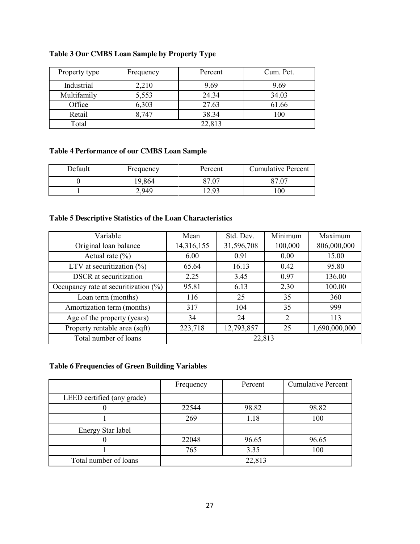## **Table 3 Our CMBS Loan Sample by Property Type**

| Property type | Frequency | Percent | Cum. Pct. |
|---------------|-----------|---------|-----------|
| Industrial    | 2,210     | 9.69    | 9.69      |
| Multifamily   | 5,553     | 24.34   | 34.03     |
| Office        | 6,303     | 27.63   | 61.66     |
| Retail        | 8,747     | 38.34   | 100       |
| Total         |           | 22,813  |           |

### **Table 4 Performance of our CMBS Loan Sample**

| Default | Frequency | Percent | <b>Cumulative Percent</b> |
|---------|-----------|---------|---------------------------|
|         | 9,864     |         | 07                        |
|         | .949      | ാ       | $_{00}$                   |

### **Table 5 Descriptive Statistics of the Loan Characteristics**

| Variable                                | Mean       | Std. Dev.  | Minimum        | Maximum       |  |
|-----------------------------------------|------------|------------|----------------|---------------|--|
| Original loan balance                   | 14,316,155 | 31,596,708 | 100,000        | 806,000,000   |  |
| Actual rate $(\% )$                     | 6.00       | 0.91       | 0.00           | 15.00         |  |
| LTV at securitization $(\%)$            | 65.64      | 16.13      | 0.42           | 95.80         |  |
| <b>DSCR</b> at securitization           | 2.25       | 3.45       | 0.97           | 136.00        |  |
| Occupancy rate at securitization $(\%)$ | 95.81      | 6.13       | 2.30           | 100.00        |  |
| Loan term (months)                      | 116        | 25         | 35             | 360           |  |
| Amortization term (months)              | 317        | 104        | 35             | 999           |  |
| Age of the property (years)             | 34         | 24         | $\overline{2}$ | 113           |  |
| Property rentable area (sqft)           | 223,718    | 12,793,857 | 25             | 1,690,000,000 |  |
| Total number of loans                   | 22,813     |            |                |               |  |

### **Table 6 Frequencies of Green Building Variables**

|                            | Frequency | Percent | <b>Cumulative Percent</b> |
|----------------------------|-----------|---------|---------------------------|
| LEED certified (any grade) |           |         |                           |
|                            | 22544     | 98.82   | 98.82                     |
|                            | 269       | 1.18    | 100                       |
| Energy Star label          |           |         |                           |
|                            | 22048     | 96.65   | 96.65                     |
|                            | 765       | 3.35    | 100                       |
| Total number of loans      |           | 22,813  |                           |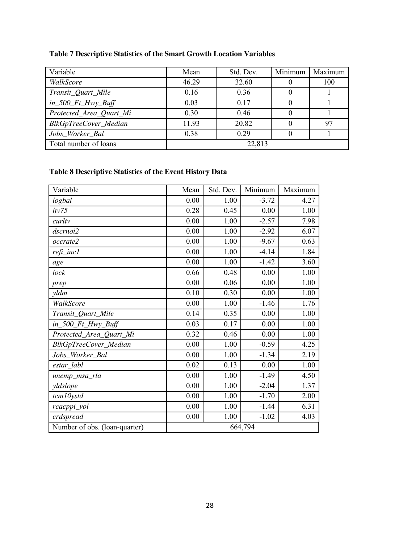## **Table 7 Descriptive Statistics of the Smart Growth Location Variables**

| Variable                 | Mean  | Std. Dev. | Minimum | Maximum |
|--------------------------|-------|-----------|---------|---------|
| WalkScore                | 46.29 | 32.60     |         | 100     |
| Transit_Quart_Mile       | 0.16  | 0.36      |         |         |
| $in\_500\_Ft\_Hwy\_Buff$ | 0.03  | 0.17      |         |         |
| Protected_Area_Quart_Mi  | 0.30  | 0.46      |         |         |
| BlkGpTreeCover_Median    | 11.93 | 20.82     |         | 97      |
| Jobs_Worker_Bal          | 0.38  | 0.29      |         |         |
| Total number of loans    |       | 22,813    |         |         |

## **Table 8 Descriptive Statistics of the Event History Data**

| Variable                      | Mean | Std. Dev. | Minimum | Maximum |
|-------------------------------|------|-----------|---------|---------|
| logbal                        | 0.00 | 1.00      | $-3.72$ | 4.27    |
| ltv75                         | 0.28 | 0.45      | 0.00    | 1.00    |
| curltv                        | 0.00 | 1.00      | $-2.57$ | 7.98    |
| dscrnoi2                      | 0.00 | 1.00      | $-2.92$ | 6.07    |
| occrate2                      | 0.00 | 1.00      | $-9.67$ | 0.63    |
| refi_inc1                     | 0.00 | 1.00      | $-4.14$ | 1.84    |
| age                           | 0.00 | 1.00      | $-1.42$ | 3.60    |
| lock                          | 0.66 | 0.48      | 0.00    | 1.00    |
| prep                          | 0.00 | 0.06      | 0.00    | 1.00    |
| yldm                          | 0.10 | 0.30      | 0.00    | 1.00    |
| WalkScore                     | 0.00 | 1.00      | $-1.46$ | 1.76    |
| Transit_Quart_Mile            | 0.14 | 0.35      | 0.00    | 1.00    |
| $in\_500\_Ft\_Hwy\_Buff$      | 0.03 | 0.17      | 0.00    | 1.00    |
| Protected_Area_Quart_Mi       | 0.32 | 0.46      | 0.00    | 1.00    |
| BlkGpTreeCover_Median         | 0.00 | 1.00      | $-0.59$ | 4.25    |
| Jobs_Worker_Bal               | 0.00 | 1.00      | $-1.34$ | 2.19    |
| estar_labl                    | 0.02 | 0.13      | 0.00    | 1.00    |
| unemp_msa_rla                 | 0.00 | 1.00      | $-1.49$ | 4.50    |
| yldslope                      | 0.00 | 1.00      | $-2.04$ | 1.37    |
| tcm10ystd                     | 0.00 | 1.00      | $-1.70$ | 2.00    |
| rcacppi_vol                   | 0.00 | 1.00      | $-1.44$ | 6.31    |
| crdspread                     | 0.00 | 1.00      | $-1.02$ | 4.03    |
| Number of obs. (loan-quarter) |      |           | 664,794 |         |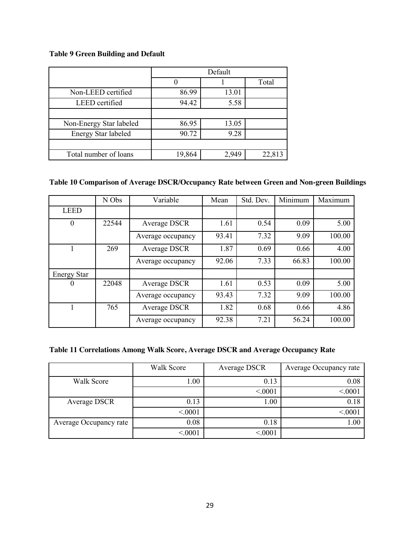### **Table 9 Green Building and Default**

|                            | Default |       |        |  |  |
|----------------------------|---------|-------|--------|--|--|
|                            |         |       | Total  |  |  |
| Non-LEED certified         | 86.99   | 13.01 |        |  |  |
| LEED certified             | 94.42   | 5.58  |        |  |  |
|                            |         |       |        |  |  |
| Non-Energy Star labeled    | 86.95   | 13.05 |        |  |  |
| <b>Energy Star labeled</b> | 90.72   | 9.28  |        |  |  |
|                            |         |       |        |  |  |
| Total number of loans      | 19,864  | 2,949 | 22,813 |  |  |

### **Table 10 Comparison of Average DSCR/Occupancy Rate between Green and Non-green Buildings**

|                    | N Obs | Variable          | Mean  | Std. Dev. | Minimum | Maximum |
|--------------------|-------|-------------------|-------|-----------|---------|---------|
| <b>LEED</b>        |       |                   |       |           |         |         |
| $\theta$           | 22544 | Average DSCR      | 1.61  | 0.54      | 0.09    | 5.00    |
|                    |       | Average occupancy | 93.41 | 7.32      | 9.09    | 100.00  |
|                    | 269   | Average DSCR      | 1.87  | 0.69      | 0.66    | 4.00    |
|                    |       | Average occupancy | 92.06 | 7.33      | 66.83   | 100.00  |
| <b>Energy Star</b> |       |                   |       |           |         |         |
| $\theta$           | 22048 | Average DSCR      | 1.61  | 0.53      | 0.09    | 5.00    |
|                    |       | Average occupancy | 93.43 | 7.32      | 9.09    | 100.00  |
|                    | 765   | Average DSCR      | 1.82  | 0.68      | 0.66    | 4.86    |
|                    |       | Average occupancy | 92.38 | 7.21      | 56.24   | 100.00  |

### **Table 11 Correlations Among Walk Score, Average DSCR and Average Occupancy Rate**

|                        | <b>Walk Score</b> | Average DSCR | Average Occupancy rate |
|------------------------|-------------------|--------------|------------------------|
| Walk Score             | 1.00              | 0.13         | 0.08                   |
|                        |                   | < 0001       | < 0001                 |
| Average DSCR           | 0.13              | 1.00         | 0.18                   |
|                        | < 0001            |              | < 0001                 |
| Average Occupancy rate | 0.08              | 0.18         | 1.00                   |
|                        | < 0001            | < 0001       |                        |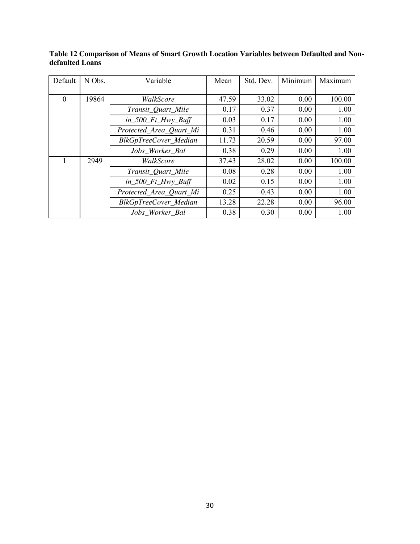| Default  | N Obs. | Variable                 | Mean  | Std. Dev. | Minimum | Maximum |
|----------|--------|--------------------------|-------|-----------|---------|---------|
|          |        |                          |       |           |         |         |
| $\theta$ | 19864  | WalkScore                | 47.59 | 33.02     | 0.00    | 100.00  |
|          |        | Transit_Quart_Mile       | 0.17  | 0.37      | 0.00    | 1.00    |
|          |        | $in\_500$ $Ft$ Hwy Buff  | 0.03  | 0.17      | 0.00    | 1.00    |
|          |        | Protected_Area_Quart_Mi  | 0.31  | 0.46      | 0.00    | 1.00    |
|          |        | BlkGpTreeCover_Median    | 11.73 | 20.59     | 0.00    | 97.00   |
|          |        | Jobs Worker Bal          | 0.38  | 0.29      | 0.00    | 1.00    |
|          | 2949   | WalkScore                | 37.43 | 28.02     | 0.00    | 100.00  |
|          |        | Transit_Quart_Mile       | 0.08  | 0.28      | 0.00    | 1.00    |
|          |        | $in\_500\_Ft\_Hwy\_Buff$ | 0.02  | 0.15      | 0.00    | 1.00    |
|          |        | Protected_Area_Quart_Mi  | 0.25  | 0.43      | 0.00    | 1.00    |
|          |        | BlkGpTreeCover_Median    | 13.28 | 22.28     | 0.00    | 96.00   |
|          |        | Jobs Worker Bal          | 0.38  | 0.30      | 0.00    | 1.00    |

**Table 12 Comparison of Means of Smart Growth Location Variables between Defaulted and Nondefaulted Loans**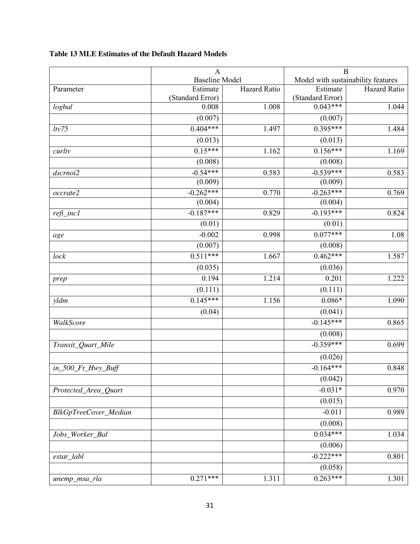|                       | $\mathbf{A}$              |              | $\overline{B}$                     |              |
|-----------------------|---------------------------|--------------|------------------------------------|--------------|
|                       | <b>Baseline Model</b>     |              | Model with sustainability features |              |
| Parameter             | Estimate                  | Hazard Ratio | Estimate                           | Hazard Ratio |
|                       | (Standard Error)<br>0.008 | 1.008        | (Standard Error)<br>$0.043***$     | 1.044        |
| logbal                | (0.007)                   |              | (0.007)                            |              |
| ltv75                 | $0.404***$                | 1.497        | $0.395***$                         | 1.484        |
|                       | (0.013)                   |              | (0.013)                            |              |
| curltv                | $0.15***$                 | 1.162        | $0.156***$                         | 1.169        |
|                       | (0.008)                   |              | (0.008)                            |              |
| dscrnoi2              | $-0.54***$                | 0.583        | $-0.539***$                        | 0.583        |
|                       | (0.009)                   |              | (0.009)                            |              |
| occrate2              | $-0.262***$               | 0.770        | $-0.263***$                        | 0.769        |
|                       | (0.004)                   |              | (0.004)                            |              |
| $refi\_inc1$          | $-0.187***$               | 0.829        | $-0.193***$                        | 0.824        |
|                       | (0.01)                    |              | (0.01)                             |              |
| age                   | $-0.002$                  | 0.998        | $0.077***$                         | 1.08         |
|                       | (0.007)                   |              | (0.008)                            |              |
| lock                  | $0.511***$                | 1.667        | $0.462***$                         | 1.587        |
|                       | (0.035)                   |              | (0.036)                            |              |
| prep                  | 0.194                     | 1.214        | 0.201                              | 1.222        |
|                       | (0.111)                   |              | (0.111)                            |              |
| yldm                  | $0.145***$                | 1.156        | $0.086*$                           | 1.090        |
|                       | (0.04)                    |              | (0.041)                            |              |
| WalkScore             |                           |              | $-0.145***$                        | 0.865        |
|                       |                           |              | (0.008)                            |              |
| Transit_Quart_Mile    |                           |              | $-0.359***$                        |              |
|                       |                           |              | (0.026)                            |              |
| in_500_Ft_Hwy_Buff    |                           |              | $-0.164***$                        | 0.848        |
|                       |                           |              | (0.042)                            |              |
| Protected_Area_Quart  |                           |              | $-0.031*$                          | 0.970        |
|                       |                           |              | (0.015)                            |              |
| BlkGpTreeCover_Median |                           |              | $-0.011$                           | 0.989        |
|                       |                           |              | (0.008)                            |              |
| Jobs_Worker_Bal       |                           |              | $0.034***$                         | 1.034        |
|                       |                           |              | (0.006)                            |              |
| $estar\_labl$         |                           |              | $-0.222***$                        | 0.801        |
|                       |                           |              | (0.058)                            |              |
| unemp_msa_rla         | $0.27$ <sup>1***</sup>    | 1.311        | $0.263***$                         | 1.301        |

## **Table 13 MLE Estimates of the Default Hazard Models**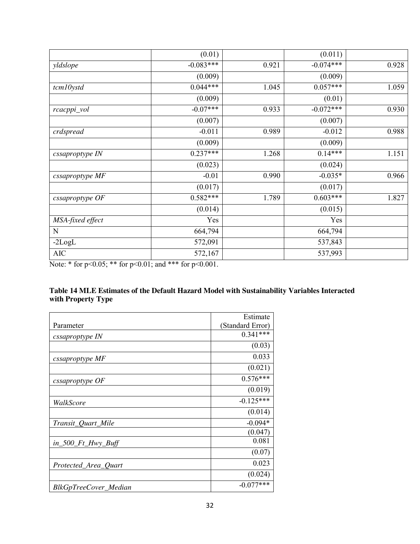|                  | (0.01)      |       | (0.011)     |       |
|------------------|-------------|-------|-------------|-------|
| yldslope         | $-0.083***$ | 0.921 | $-0.074***$ | 0.928 |
|                  | (0.009)     |       | (0.009)     |       |
| tcm10ystd        | $0.044***$  | 1.045 | $0.057***$  | 1.059 |
|                  | (0.009)     |       | (0.01)      |       |
| rcacppi_vol      | $-0.07***$  | 0.933 | $-0.072***$ | 0.930 |
|                  | (0.007)     |       | (0.007)     |       |
| crdspread        | $-0.011$    | 0.989 | $-0.012$    | 0.988 |
|                  | (0.009)     |       | (0.009)     |       |
| cssaproptype IN  | $0.237***$  | 1.268 | $0.14***$   | 1.151 |
|                  | (0.023)     |       | (0.024)     |       |
| cssaproptype MF  | $-0.01$     | 0.990 | $-0.035*$   | 0.966 |
|                  | (0.017)     |       | (0.017)     |       |
| cssaproptype OF  | $0.582***$  | 1.789 | $0.603***$  | 1.827 |
|                  | (0.014)     |       | (0.015)     |       |
| MSA-fixed effect | Yes         |       | Yes         |       |
| N                | 664,794     |       | 664,794     |       |
| $-2LogL$         | 572,091     |       | 537,843     |       |
| <b>AIC</b>       | 572,167     |       | 537,993     |       |

Note: \* for p<0.05; \*\* for p<0.01; and \*\*\* for p<0.001.

### **Table 14 MLE Estimates of the Default Hazard Model with Sustainability Variables Interacted with Property Type**

|                          | Estimate         |
|--------------------------|------------------|
| Parameter                | (Standard Error) |
| cssaproptype IN          | $0.341***$       |
|                          | (0.03)           |
| cssaproptype MF          | 0.033            |
|                          | (0.021)          |
| $\emph{cssaproptype}$ OF | $0.576***$       |
|                          | (0.019)          |
| WalkScore                | $-0.125***$      |
|                          | (0.014)          |
| Transit_Quart_Mile       | $-0.094*$        |
|                          | (0.047)          |
| $in\_500\_Ft\_Hwy\_Buff$ | 0.081            |
|                          | (0.07)           |
| Protected_Area_Quart     | 0.023            |
|                          | (0.024)          |
| BlkGpTreeCover_Median    | $-0.077***$      |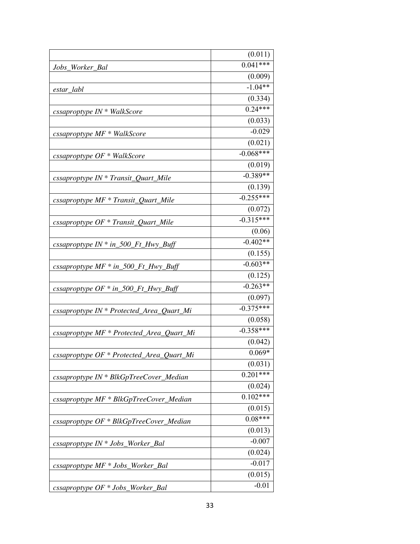|                                                          | (0.011)     |
|----------------------------------------------------------|-------------|
| Jobs_Worker_Bal                                          | $0.041***$  |
|                                                          | (0.009)     |
| estar_labl                                               | $-1.04**$   |
|                                                          | (0.334)     |
| cssaproptype IN * WalkScore                              | $0.24***$   |
|                                                          | (0.033)     |
| cssaproptype MF * WalkScore                              | $-0.029$    |
|                                                          | (0.021)     |
| cssaproptype $OF * WalkScore$                            | $-0.068***$ |
|                                                          | (0.019)     |
| $\emph{cssaproptype IN} * \emph{Transit\_Quant\_Mile}$   | $-0.389**$  |
|                                                          | (0.139)     |
| $\emph{cssaproptype}$ MF $*$ Transit_Quart_Mile          | $-0.255***$ |
|                                                          | (0.072)     |
| cssaproptype $OF * Transit\_Quart\_Mile$                 | $-0.315***$ |
|                                                          | (0.06)      |
| cssaproptype IN * in_500_Ft_Hwy_Buff                     | $-0.402**$  |
|                                                          | (0.155)     |
| cssaproptype $MF * in_500_Ft_Hwy_Buff$                   | $-0.603**$  |
|                                                          | (0.125)     |
| cssaproptype $OF * in_500_Ft_Hwy_Buff$                   | $-0.263**$  |
|                                                          | (0.097)     |
| cssaproptype IN * Protected_Area_Quart_Mi                | $-0.375***$ |
|                                                          | (0.058)     |
| cssaproptype MF * Protected_Area_Quart_Mi                | $-0.358***$ |
|                                                          | (0.042)     |
| cssaproptype OF * Protected_Area_Quart_Mi                | $0.069*$    |
|                                                          | (0.031)     |
| $\emph{cssaproptype IN} * \emph{BlkGpTreeCover\_Median}$ | $0.201***$  |
|                                                          | (0.024)     |
| cssaproptype MF * BlkGpTreeCover_Median                  | $0.102***$  |
|                                                          | (0.015)     |
| cssaproptype OF * BlkGpTreeCover_Median                  | $0.08***$   |
|                                                          | (0.013)     |
| $\emph{cssaproptype IN} * \emph{Jobs_Worker_Bal}$        | $-0.007$    |
|                                                          | (0.024)     |
| cssaproptype MF * Jobs_Worker_Bal                        | $-0.017$    |
|                                                          | (0.015)     |
| cssaproptype OF * Jobs_Worker_Bal                        | $-0.01$     |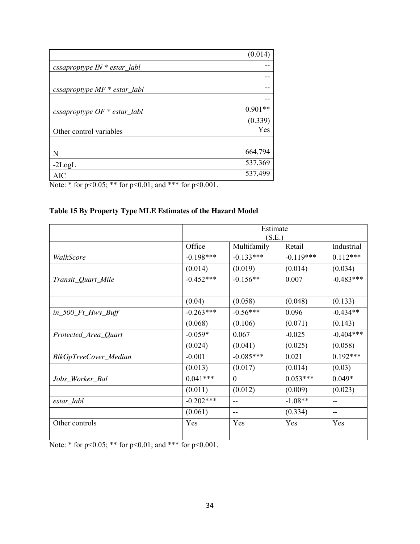|                                  | (0.014)   |
|----------------------------------|-----------|
| cssaproptype $IN * estar_l$      |           |
|                                  |           |
| cssaproptype $MF * estar\_label$ |           |
|                                  |           |
| cssaproptype $OF * estar\_labl$  | $0.901**$ |
|                                  | (0.339)   |
| Other control variables          | Yes       |
|                                  |           |
| N                                | 664,794   |
| $-2LogL$                         | 537,369   |
| <b>AIC</b>                       | 537,499   |

Note: \* for p<0.05; \*\* for p<0.01; and \*\*\* for p<0.001.

## **Table 15 By Property Type MLE Estimates of the Hazard Model**

|                          |             | Estimate    |             |             |  |
|--------------------------|-------------|-------------|-------------|-------------|--|
|                          |             | (S.E.)      |             |             |  |
|                          | Office      | Multifamily | Retail      | Industrial  |  |
| WalkScore                | $-0.198***$ | $-0.133***$ | $-0.119***$ | $0.112***$  |  |
|                          | (0.014)     | (0.019)     | (0.014)     | (0.034)     |  |
| Transit_Quart_Mile       | $-0.452***$ | $-0.156**$  | 0.007       | $-0.483***$ |  |
|                          | (0.04)      | (0.058)     | (0.048)     | (0.133)     |  |
| $in\_500\_Ft\_Hwy\_Buff$ | $-0.263***$ | $-0.56***$  | 0.096       | $-0.434**$  |  |
|                          | (0.068)     | (0.106)     | (0.071)     | (0.143)     |  |
| Protected_Area_Quart     | $-0.059*$   | 0.067       | $-0.025$    | $-0.404***$ |  |
|                          | (0.024)     | (0.041)     | (0.025)     | (0.058)     |  |
| BlkGpTreeCover_Median    | $-0.001$    | $-0.085***$ | 0.021       | $0.192***$  |  |
|                          | (0.013)     | (0.017)     | (0.014)     | (0.03)      |  |
| Jobs_Worker_Bal          | $0.041***$  | $\Omega$    | $0.053***$  | $0.049*$    |  |
|                          | (0.011)     | (0.012)     | (0.009)     | (0.023)     |  |
| estar_labl               | $-0.202***$ |             | $-1.08**$   | --          |  |
|                          | (0.061)     | --          | (0.334)     | --          |  |
| Other controls           | Yes         | Yes         | Yes         | Yes         |  |

Note: \* for p<0.05; \*\* for p<0.01; and \*\*\* for p<0.001.